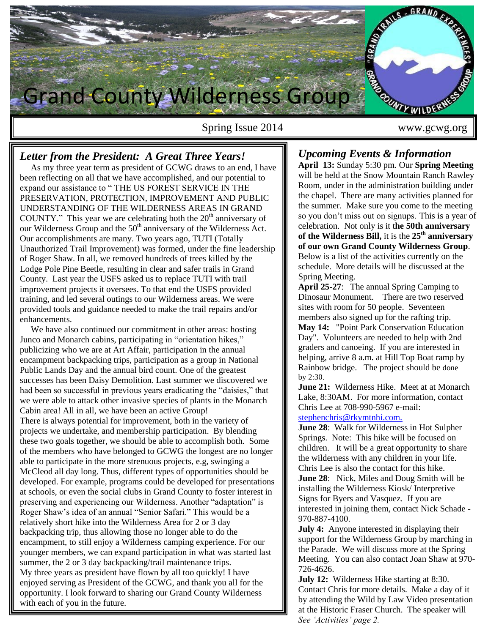

Spring Issue 2014 www.gcwg.org

# *Letter from the President: A Great Three Years!*

 As my three year term as president of GCWG draws to an end, I have been reflecting on all that we have accomplished, and our potential to expand our assistance to " THE US FOREST SERVICE IN THE PRESERVATION, PROTECTION, IMPROVEMENT AND PUBLIC UNDERSTANDING OF THE WILDERNESS AREAS IN GRAND COUNTY." This year we are celebrating both the  $20<sup>th</sup>$  anniversary of our Wilderness Group and the 50<sup>th</sup> anniversary of the Wilderness Act. Our accomplishments are many. Two years ago, TUTI (Totally Unauthorized Trail Improvement) was formed, under the fine leadership of Roger Shaw. In all, we removed hundreds of trees killed by the Lodge Pole Pine Beetle, resulting in clear and safer trails in Grand County. Last year the USFS asked us to replace TUTI with trail improvement projects it oversees. To that end the USFS provided training, and led several outings to our Wilderness areas. We were provided tools and guidance needed to make the trail repairs and/or enhancements.

 We have also continued our commitment in other areas: hosting Junco and Monarch cabins, participating in "orientation hikes," publicizing who we are at Art Affair, participation in the annual encampment backpacking trips, participation as a group in National Public Lands Day and the annual bird count. One of the greatest successes has been Daisy Demolition. Last summer we discovered we had been so successful in previous years eradicating the "daisies," that we were able to attack other invasive species of plants in the Monarch Cabin area! All in all, we have been an active Group! There is always potential for improvement, both in the variety of projects we undertake, and membership participation. By blending these two goals together, we should be able to accomplish both. Some of the members who have belonged to GCWG the longest are no longer able to participate in the more strenuous projects, e.g, swinging a McCleod all day long. Thus, different types of opportunities should be developed. For example, programs could be developed for presentations at schools, or even the social clubs in Grand County to foster interest in preserving and experiencing our Wilderness. Another "adaptation" is Roger Shaw's idea of an annual "Senior Safari." This would be a relatively short hike into the Wilderness Area for 2 or 3 day backpacking trip, thus allowing those no longer able to do the encampment, to still enjoy a Wilderness camping experience. For our younger members, we can expand participation in what was started last summer, the 2 or 3 day backpacking/trail maintenance trips. My three years as president have flown by all too quickly! I have enjoyed serving as President of the GCWG, and thank you all for the opportunity. I look forward to sharing our Grand County Wilderness with each of you in the future.

## *Upcoming Events & Information*

**April 13:** Sunday 5:30 pm. Our **Spring Meeting** will be held at the Snow Mountain Ranch Rawley Room, under in the administration building under the chapel.There are many activities planned for the summer. Make sure you come to the meeting so you don't miss out on signups. This is a year of celebration. Not only is it t**he 50th anniversary of the Wilderness Bill,** it is the **25th anniversary of our own Grand County Wilderness Group**. Below is a list of the activities currently on the schedule. More details will be discussed at the Spring Meeting.

**April 25-27**: The annual Spring Camping to Dinosaur Monument. There are two reserved sites with room for 50 people. Seventeen members also signed up for the rafting trip. **May 14:** "Point Park Conservation Education Day". Volunteers are needed to help with 2nd graders and canoeing. If you are interested in helping, arrive 8 a.m. at Hill Top Boat ramp by Rainbow bridge. The project should be done by 2:30.

**June 21:** Wilderness Hike. Meet at at Monarch Lake, 8:30AM. For more information, contact Chris Lee at 708-990-5967 e-mail: [stephenchris@rkymtnhi.com.](mailto:stephenchris@rkymtnhi.com)

**June 28**: Walk for Wilderness in Hot Sulpher Springs. Note: This hike will be focused on children. It will be a great opportunity to share the wilderness with any children in your life. Chris Lee is also the contact for this hike. **June 28**: Nick, Miles and Doug Smith will be installing the Wilderness Kiosk/ Interpretive Signs for Byers and Vasquez. If you are interested in joining them, contact Nick Schade - 970-887-4100.

**July 4:** Anyone interested in displaying their support for the Wilderness Group by marching in the Parade. We will discuss more at the Spring Meeting. You can also contact Joan Shaw at 970- 726-4626.

**July 12:** Wilderness Hike starting at 8:30. Contact Chris for more details. Make a day of it by attending the Wild by Law Video presentation at the Historic Fraser Church. The speaker will *See 'Activities' page 2.*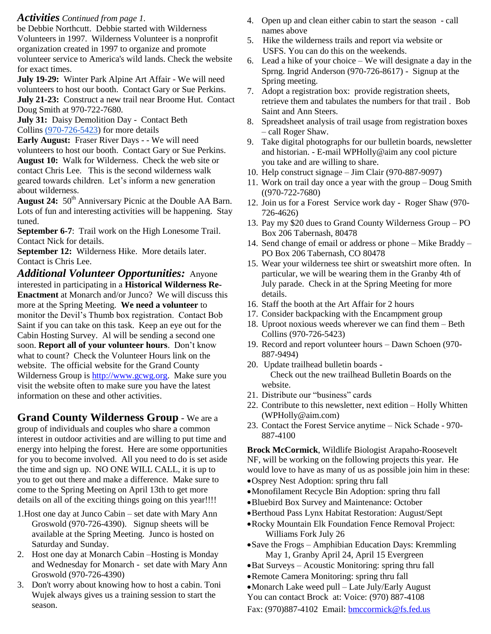### *Activities Continued from page 1.*

be Debbie Northcutt. Debbie started with Wilderness Volunteers in 1997. Wilderness Volunteer is a nonprofit organization created in 1997 to organize and promote volunteer service to America's wild lands. Check the website for exact times.

**July 19-29:** Winter Park Alpine Art Affair - We will need volunteers to host our booth. Contact Gary or Sue Perkins. **July 21-23:** Construct a new trail near Broome Hut. Contact Doug Smith at 970-722-7680.

**July 31:** Daisy Demolition Day - Contact Beth Collins [\(970-726-5423\)](tel:%28970-726-5423) for more details

**Early August:** Fraser River Days - - We will need volunteers to host our booth. Contact Gary or Sue Perkins. **August 10:** Walk for Wilderness. Check the web site or contact Chris Lee. This is the second wilderness walk geared towards children. Let's inform a new generation about wilderness.

August 24: 50<sup>th</sup> Anniversary Picnic at the Double AA Barn. Lots of fun and interesting activities will be happening. Stay tuned.

**September 6-7**: Trail work on the High Lonesome Trail. Contact Nick for details.

**September 12:** Wilderness Hike. More details later. Contact is Chris Lee.

*Additional Volunteer Opportunities:*Anyone interested in participating in a **Historical Wilderness Re-Enactment** at Monarch and/or Junco? We will discuss this more at the Spring Meeting. **We need a volunteer** to monitor the Devil's Thumb box registration. Contact Bob Saint if you can take on this task. Keep an eye out for the Cabin Hosting Survey. Al will be sending a second one soon. **Report all of your volunteer hours**. Don't know what to count? Check the Volunteer Hours link on the website.The official website for the Grand County Wilderness Group is [http://www.gcwg.org.](http://www.gcwg.org/) Make sure you visit the website often to make sure you have the latest information on these and other activities.

**Grand County Wilderness Group** - We are a group of individuals and couples who share a common interest in outdoor activities and are willing to put time and energy into helping the forest. Here are some opportunities for you to become involved. All you need to do is set aside the time and sign up. NO ONE WILL CALL, it is up to you to get out there and make a difference. Make sure to come to the Spring Meeting on April 13th to get more details on all of the exciting things going on this year!!!!

- 1.Host one day at Junco Cabin set date with Mary Ann Groswold (970-726-4390). Signup sheets will be available at the Spring Meeting. Junco is hosted on Saturday and Sunday.
- 2. Host one day at Monarch Cabin –Hosting is Monday and Wednesday for Monarch - set date with Mary Ann Groswold (970-726-4390)
- 3. Don't worry about knowing how to host a cabin. Toni Wujek always gives us a training session to start the season.
- 4. Open up and clean either cabin to start the season call names above
- 5. Hike the wilderness trails and report via website or USFS. You can do this on the weekends.
- 6. Lead a hike of your choice We will designate a day in the Sprng. Ingrid Anderson (970-726-8617) - Signup at the Spring meeting.
- 7. Adopt a registration box: provide registration sheets, retrieve them and tabulates the numbers for that trail . Bob Saint and Ann Steers.
- 8. Spreadsheet analysis of trail usage from registration boxes – call Roger Shaw.
- 9. Take digital photographs for our bulletin boards, newsletter and historian. - E-mail WPHolly@aim any cool picture you take and are willing to share.
- 10. Help construct signage Jim Clair (970-887-9097)
- 11. Work on trail day once a year with the group Doug Smith ((970-722-7680)
- 12. Join us for a Forest Service work day Roger Shaw (970- 726-4626)
- 13. Pay my \$20 dues to Grand County Wilderness Group PO Box 206 Tabernash, 80478
- 14. Send change of email or address or phone Mike Braddy PO Box 206 Tabernash, CO 80478
- 15. Wear your wilderness tee shirt or sweatshirt more often. In particular, we will be wearing them in the Granby 4th of July parade. Check in at the Spring Meeting for more details.
- 16. Staff the booth at the Art Affair for 2 hours
- 17. Consider backpacking with the Encampment group
- 18. Uproot noxious weeds wherever we can find them Beth Collins (970-726-5423)
- 19. Record and report volunteer hours Dawn Schoen (970- 887-9494)
- 20. Update trailhead bulletin boards Check out the new trailhead Bulletin Boards on the website.
- 21. Distribute our "business" cards
- 22. Contribute to this newsletter, next edition Holly Whitten (WPHolly@aim.com)
- 23. Contact the Forest Service anytime Nick Schade 970- 887-4100

**Brock McCormick**, Wildlife Biologist Arapaho-Roosevelt NF, will be working on the following projects this year. He would love to have as many of us as possible join him in these:

- Osprey Nest Adoption: spring thru fall
- Monofilament Recycle Bin Adoption: spring thru fall
- Bluebird Box Survey and Maintenance: October
- Berthoud Pass Lynx Habitat Restoration: August/Sept
- Rocky Mountain Elk Foundation Fence Removal Project: Williams Fork July 26
- Save the Frogs Amphibian Education Days: Kremmling May 1, Granby April 24, April 15 Evergreen
- Bat Surveys Acoustic Monitoring: spring thru fall
- Remote Camera Monitoring: spring thru fall
- Monarch Lake weed pull Late July/Early August

You can contact Brock at: Voice: (970) 887-4108

Fax: (970)887-4102 Email: [bmccormick@fs.fed.us](mailto:bmccormick@fs.fed.us)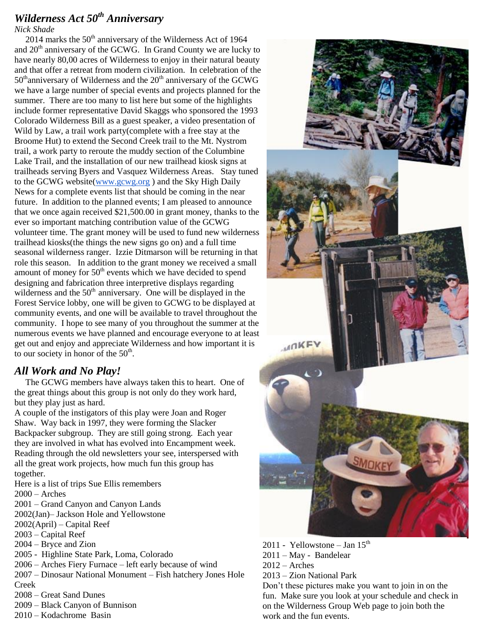# *Wilderness Act 50th Anniversary*

*Nick Shade*

2014 marks the  $50<sup>th</sup>$  anniversary of the Wilderness Act of 1964 and  $20<sup>th</sup>$  anniversary of the GCWG. In Grand County we are lucky to have nearly 80,00 acres of Wilderness to enjoy in their natural beauty and that offer a retreat from modern civilization. In celebration of the  $50<sup>th</sup>$ anniversary of Wilderness and the  $20<sup>th</sup>$  anniversary of the GCWG we have a large number of special events and projects planned for the summer. There are too many to list here but some of the highlights include former representative David Skaggs who sponsored the 1993 Colorado Wilderness Bill as a guest speaker, a video presentation of Wild by Law, a trail work party(complete with a free stay at the Broome Hut) to extend the Second Creek trail to the Mt. Nystrom trail, a work party to reroute the muddy section of the Columbine Lake Trail, and the installation of our new trailhead kiosk signs at trailheads serving Byers and Vasquez Wilderness Areas. Stay tuned to the GCWG website[\(www.gcwg.org](http://www.gcwg.org/) ) and the Sky High Daily News for a complete events list that should be coming in the near future. In addition to the planned events; I am pleased to announce that we once again received \$21,500.00 in grant money, thanks to the ever so important matching contribution value of the GCWG volunteer time. The grant money will be used to fund new wilderness trailhead kiosks(the things the new signs go on) and a full time seasonal wilderness ranger. Izzie Ditmarson will be returning in that role this season. In addition to the grant money we received a small amount of money for  $50<sup>th</sup>$  events which we have decided to spend designing and fabrication three interpretive displays regarding wilderness and the  $50<sup>th</sup>$  anniversary. One will be displayed in the Forest Service lobby, one will be given to GCWG to be displayed at community events, and one will be available to travel throughout the community. I hope to see many of you throughout the summer at the numerous events we have planned and encourage everyone to at least get out and enjoy and appreciate Wilderness and how important it is to our society in honor of the  $50<sup>th</sup>$ .

## *All Work and No Play!*

 The GCWG members have always taken this to heart. One of the great things about this group is not only do they work hard, but they play just as hard.

A couple of the instigators of this play were Joan and Roger Shaw. Way back in 1997, they were forming the Slacker Backpacker subgroup. They are still going strong. Each year they are involved in what has evolved into Encampment week. Reading through the old newsletters your see, interspersed with all the great work projects, how much fun this group has together.

Here is a list of trips Sue Ellis remembers

2000 – Arches

2001 – Grand Canyon and Canyon Lands

2002(Jan)– Jackson Hole and Yellowstone

2002(April) – Capital Reef

2003 – Capital Reef

2004 – Bryce and Zion

2005 - Highline State Park, Loma, Colorado

2006 – Arches Fiery Furnace – left early because of wind

2007 – Dinosaur National Monument – Fish hatchery Jones Hole Creek

2008 – Great Sand Dunes

2009 – Black Canyon of Bunnison

2010 – Kodachrome Basin



2011 - Yellowstone – Jan  $15<sup>th</sup>$ 

2011 – May - Bandelear

 $2012 -$ Arches

2013 – Zion National Park

Don't these pictures make you want to join in on the fun. Make sure you look at your schedule and check in on the Wilderness Group Web page to join both the work and the fun events.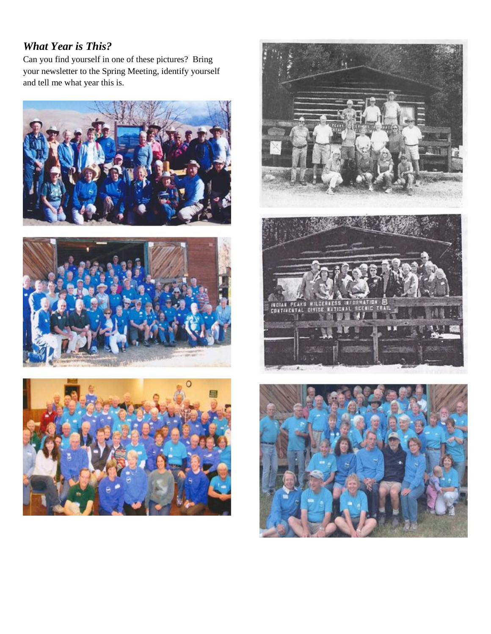# *What Year is This?*

Can you find yourself in one of these pictures? Bring your newsletter to the Spring Meeting, identify yourself and tell me what year this is.









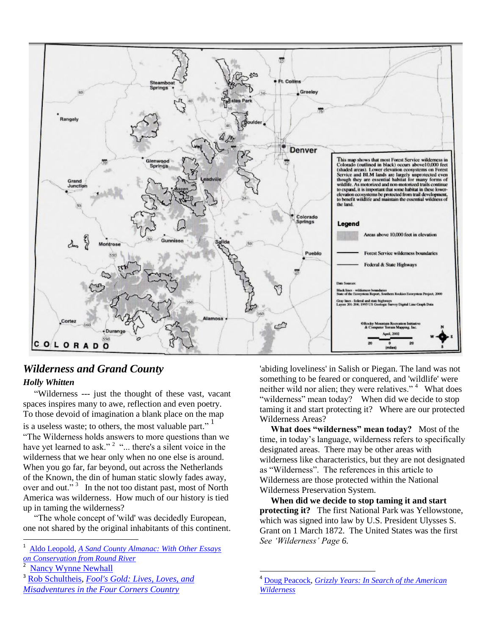

l

# *Wilderness and Grand County*

## *Holly Whitten*

"Wilderness --- just the thought of these vast, vacant spaces inspires many to awe, reflection and even poetry. To those devoid of imagination a blank place on the map is a useless waste; to others, the most valuable part."<sup>1</sup> "The Wilderness holds answers to more questions than we have yet learned to ask."<sup>2</sup> "... there's a silent voice in the wilderness that we hear only when no one else is around. When you go far, far beyond, out across the Netherlands of the Known, the din of human static slowly fades away, over and out."<sup>3</sup> In the not too distant past, most of North America was wilderness. How much of our history is tied up in taming the wilderness?

 "The whole concept of 'wild' was decidedly European, one not shared by the original inhabitants of this continent.

<sup>2</sup> [Nancy Wynne Newhall](http://www.goodreads.com/author/show/1655566.Nancy_Wynne_Newhall)

 $\overline{a}$ 

'abiding loveliness' in Salish or Piegan. The land was not something to be feared or conquered, and 'wildlife' were neither wild nor alien; they were relatives."<sup>4</sup> What does "wilderness" mean today? When did we decide to stop taming it and start protecting it? Where are our protected Wilderness Areas?

 **What does "wilderness" mean today?** Most of the time, in today's language, wilderness refers to specifically designated areas. There may be other areas with wilderness like characteristics, but they are not designated as "Wilderness". The references in this article to Wilderness are those protected within the National Wilderness Preservation System.

 **When did we decide to stop taming it and start protecting it?** The first National Park was Yellowstone, which was signed into law by U.S. President Ulysses S. Grant on 1 March 1872. The United States was the first *See 'Wilderness' Page 6.* 

<sup>1</sup> [Aldo Leopold,](http://www.goodreads.com/author/show/43828.Aldo_Leopold) *[A Sand County Almanac: With Other Essays](http://www.goodreads.com/work/quotes/321811)  [on Conservation from Round River](http://www.goodreads.com/work/quotes/321811)*

<sup>3</sup> [Rob Schultheis,](http://www.goodreads.com/author/show/237493.Rob_Schultheis) *[Fool's Gold: Lives, Loves, and](http://www.goodreads.com/work/quotes/410392)  [Misadventures in the Four Corners Country](http://www.goodreads.com/work/quotes/410392)*

<sup>4</sup> [Doug Peacock,](http://www.goodreads.com/author/show/146131.Doug_Peacock) *[Grizzly Years: In Search of the American](http://www.goodreads.com/work/quotes/1258441)  [Wilderness](http://www.goodreads.com/work/quotes/1258441)*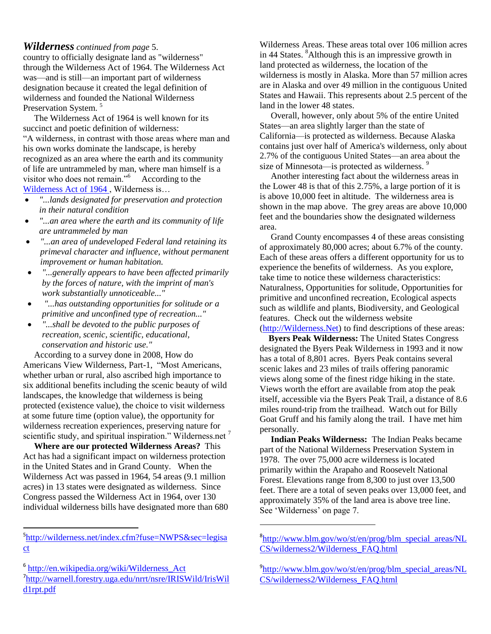### *Wilderness continued from page* 5.

country to officially designate land as "wilderness" through the Wilderness Act of 1964. The Wilderness Act was—and is still—an important part of wilderness designation because it created the legal definition of wilderness and founded the National Wilderness Preservation System.<sup>5</sup>

 The Wilderness Act of 1964 is well known for its succinct and poetic definition of wilderness: "A wilderness, in contrast with those areas where man and his own works dominate the landscape, is hereby recognized as an area where the earth and its community of life are untrammeled by man, where man himself is a visitor who does not remain."<sup>6</sup> According to the [Wilderness Act of 1964 ,](../../../../pgdata/etc/medialib/blm/co/field_offices/denca/Major_Documents.Par.59476.File.dat/Wilderness%20Act.pdf) Wilderness is…

- *"...lands designated for preservation and protection in their natural condition*
- *"...an area where the earth and its community of life are untrammeled by man*
- *"...an area of undeveloped Federal land retaining its primeval character and influence, without permanent improvement or human habitation.*
- *"...generally appears to have been affected primarily by the forces of nature, with the imprint of man's work substantially unnoticeable..."*
- *"...has outstanding opportunities for solitude or a primitive and unconfined type of recreation..."*
- *"...shall be devoted to the public purposes of recreation, scenic, scientific, educational, conservation and historic use."*

 According to a survey done in 2008, How do Americans View Wilderness, Part-1, "Most Americans, whether urban or rural, also ascribed high importance to six additional benefits including the scenic beauty of wild landscapes, the knowledge that wilderness is being protected (existence value), the choice to visit wilderness at some future time (option value), the opportunity for wilderness recreation experiences, preserving nature for scientific study, and spiritual inspiration." Wilderness.net  $<sup>7</sup>$ </sup>

 **Where are our protected Wilderness Areas?** This Act has had a significant impact on wilderness protection in the United States and in Grand County. When the Wilderness Act was passed in 1964, 54 areas (9.1 million acres) in 13 states were designated as wilderness. Since Congress passed the Wilderness Act in 1964, over 130 individual wilderness bills have designated more than 680

 $\ddot{\phantom{a}}$ 

Wilderness Areas. These areas total over 106 million acres in 44 States. <sup>8</sup>Although this is an impressive growth in land protected as wilderness, the location of the wilderness is mostly in Alaska. More than 57 million acres are in Alaska and over 49 million in the contiguous United States and Hawaii. This represents about 2.5 percent of the land in the lower 48 states.

 Overall, however, only about 5% of the entire United States—an area slightly larger than the state of California—is protected as wilderness. Because Alaska contains just over half of America's wilderness, only about 2.7% of the contiguous United States—an area about the size of Minnesota—is protected as wilderness.<sup>9</sup>

 Another interesting fact about the wilderness areas in the Lower 48 is that of this 2.75%, a large portion of it is is above 10,000 feet in altitude. The wilderness area is shown in the map above. The grey areas are above 10,000 feet and the boundaries show the designated wilderness area.

 Grand County encompasses 4 of these areas consisting of approximately 80,000 acres; about 6.7% of the county. Each of these areas offers a different opportunity for us to experience the benefits of wilderness. As you explore, take time to notice these wilderness characteristics: Naturalness, Opportunities for solitude, Opportunities for primitive and unconfined recreation, Ecological aspects such as wildlife and plants, Biodiversity, and Geological features. Check out the wilderness website [\(http://Wilderness.Net\)](http://wilderness.net/) to find descriptions of these areas:

 **Byers Peak Wilderness:** The United States Congress designated the Byers Peak Wilderness in 1993 and it now has a total of 8,801 acres. Byers Peak contains several scenic lakes and 23 miles of trails offering panoramic views along some of the finest ridge hiking in the state. Views worth the effort are available from atop the peak itself, accessible via the Byers Peak Trail, a distance of 8.6 miles round-trip from the trailhead. Watch out for Billy Goat Gruff and his family along the trail. I have met him personally.

 **Indian Peaks Wilderness:** The Indian Peaks became part of the National Wilderness Preservation System in 1978. The over 75,000 acre wilderness is located primarily within the Arapaho and Roosevelt National Forest. Elevations range from 8,300 to just over 13,500 feet. There are a total of seven peaks over 13,000 feet, and approximately 35% of the land area is above tree line. See 'Wilderness' on page 7.

 $\overline{\phantom{a}}$ 

<sup>&</sup>lt;sup>5</sup>[http://wilderness.net/index.cfm?fuse=NWPS&sec=legisa](http://wilderness.net/index.cfm?fuse=NWPS&sec=legisact) [ct](http://wilderness.net/index.cfm?fuse=NWPS&sec=legisact)

<sup>&</sup>lt;sup>6</sup> http://en.wikipedia.org/wiki/Wilderness Act

<sup>7</sup>[http://warnell.forestry.uga.edu/nrrt/nsre/IRISWild/IrisWil](http://warnell.forestry.uga.edu/nrrt/nsre/IRISWild/IrisWild1rpt.pdf) [d1rpt.pdf](http://warnell.forestry.uga.edu/nrrt/nsre/IRISWild/IrisWild1rpt.pdf)

<sup>&</sup>lt;sup>8</sup>[http://www.blm.gov/wo/st/en/prog/blm\\_special\\_areas/NL](http://www.blm.gov/wo/st/en/prog/blm_special_areas/NLCS/wilderness2/Wilderness_FAQ.html) [CS/wilderness2/Wilderness\\_FAQ.html](http://www.blm.gov/wo/st/en/prog/blm_special_areas/NLCS/wilderness2/Wilderness_FAQ.html)

<sup>&</sup>lt;sup>9</sup>[http://www.blm.gov/wo/st/en/prog/blm\\_special\\_areas/NL](http://www.blm.gov/wo/st/en/prog/blm_special_areas/NLCS/wilderness2/Wilderness_FAQ.html) [CS/wilderness2/Wilderness\\_FAQ.html](http://www.blm.gov/wo/st/en/prog/blm_special_areas/NLCS/wilderness2/Wilderness_FAQ.html)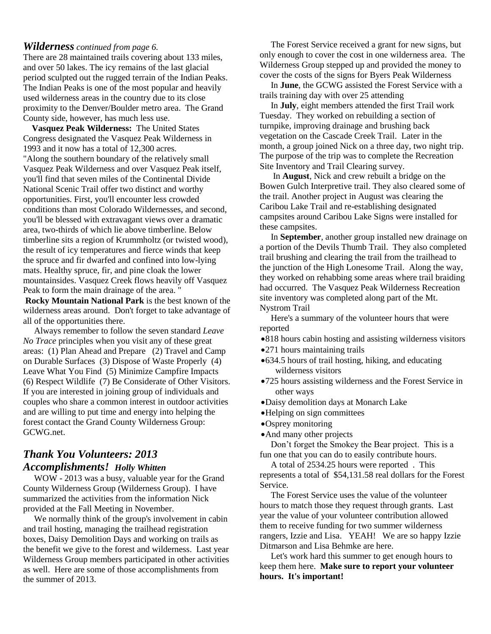### *Wilderness continued from page 6.*

There are 28 maintained trails covering about 133 miles, and over 50 lakes. The icy remains of the last glacial period sculpted out the rugged terrain of the Indian Peaks. The Indian Peaks is one of the most popular and heavily used wilderness areas in the country due to its close proximity to the Denver/Boulder metro area. The Grand County side, however, has much less use.

 **Vasquez Peak Wilderness:** The United States Congress designated the Vasquez Peak Wilderness in 1993 and it now has a total of 12,300 acres. "Along the southern boundary of the relatively small Vasquez Peak Wilderness and over Vasquez Peak itself, you'll find that seven miles of the Continental Divide National Scenic Trail offer two distinct and worthy opportunities. First, you'll encounter less crowded conditions than most Colorado Wildernesses, and second, you'll be blessed with extravagant views over a dramatic area, two-thirds of which lie above timberline. Below timberline sits a region of Krummholtz (or twisted wood), the result of icy temperatures and fierce winds that keep the spruce and fir dwarfed and confined into low-lying mats. Healthy spruce, fir, and pine cloak the lower mountainsides. Vasquez Creek flows heavily off Vasquez Peak to form the main drainage of the area. "

**Rocky Mountain National Park** is the best known of the wilderness areas around. Don't forget to take advantage of all of the opportunities there.

 Always remember to follow the seven standard *Leave No Trace* principles when you visit any of these great areas: (1) Plan Ahead and Prepare (2) Travel and Camp on Durable Surfaces (3) Dispose of Waste Properly (4) Leave What You Find (5) Minimize Campfire Impacts (6) Respect Wildlife (7) Be Considerate of Other Visitors. If you are interested in joining group of individuals and couples who share a common interest in outdoor activities and are willing to put time and energy into helping the forest contact the Grand County Wilderness Group: GCWG.net.

## *Thank You Volunteers: 2013 Accomplishments! Holly Whitten*

 WOW - 2013 was a busy, valuable year for the Grand County Wilderness Group (Wilderness Group). I have summarized the activities from the information Nick provided at the Fall Meeting in November.

 We normally think of the group's involvement in cabin and trail hosting, managing the trailhead registration boxes, Daisy Demolition Days and working on trails as the benefit we give to the forest and wilderness. Last year Wilderness Group members participated in other activities as well. Here are some of those accomplishments from the summer of 2013.

 The Forest Service received a grant for new signs, but only enough to cover the cost in one wilderness area. The Wilderness Group stepped up and provided the money to cover the costs of the signs for Byers Peak Wilderness

 In **June**, the GCWG assisted the Forest Service with a trails training day with over 25 attending

 In **July**, eight members attended the first Trail work Tuesday. They worked on rebuilding a section of turnpike, improving drainage and brushing back vegetation on the Cascade Creek Trail. Later in the month, a group joined Nick on a three day, two night trip. The purpose of the trip was to complete the Recreation Site Inventory and Trail Clearing survey.

 In **August**, Nick and crew rebuilt a bridge on the Bowen Gulch Interpretive trail. They also cleared some of the trail. Another project in August was clearing the Caribou Lake Trail and re-establishing designated campsites around Caribou Lake Signs were installed for these campsites.

 In **September**, another group installed new drainage on a portion of the Devils Thumb Trail. They also completed trail brushing and clearing the trail from the trailhead to the junction of the High Lonesome Trail. Along the way, they worked on rehabbing some areas where trail braiding had occurred. The Vasquez Peak Wilderness Recreation site inventory was completed along part of the Mt. Nystrom Trail

 Here's a summary of the volunteer hours that were reported

- 818 hours cabin hosting and assisting wilderness visitors
- 271 hours maintaining trails
- 634.5 hours of trail hosting, hiking, and educating wilderness visitors
- 725 hours assisting wilderness and the Forest Service in other ways
- Daisy demolition days at Monarch Lake
- Helping on sign committees
- •Osprey monitoring
- And many other projects

 Don't forget the Smokey the Bear project. This is a fun one that you can do to easily contribute hours.

 A total of 2534.25 hours were reported . This represents a total of \$54,131.58 real dollars for the Forest Service.

 The Forest Service uses the value of the volunteer hours to match those they request through grants. Last year the value of your volunteer contribution allowed them to receive funding for two summer wilderness rangers, Izzie and Lisa. YEAH! We are so happy Izzie Ditmarson and Lisa Behmke are here.

 Let's work hard this summer to get enough hours to keep them here. **Make sure to report your volunteer hours. It's important!**